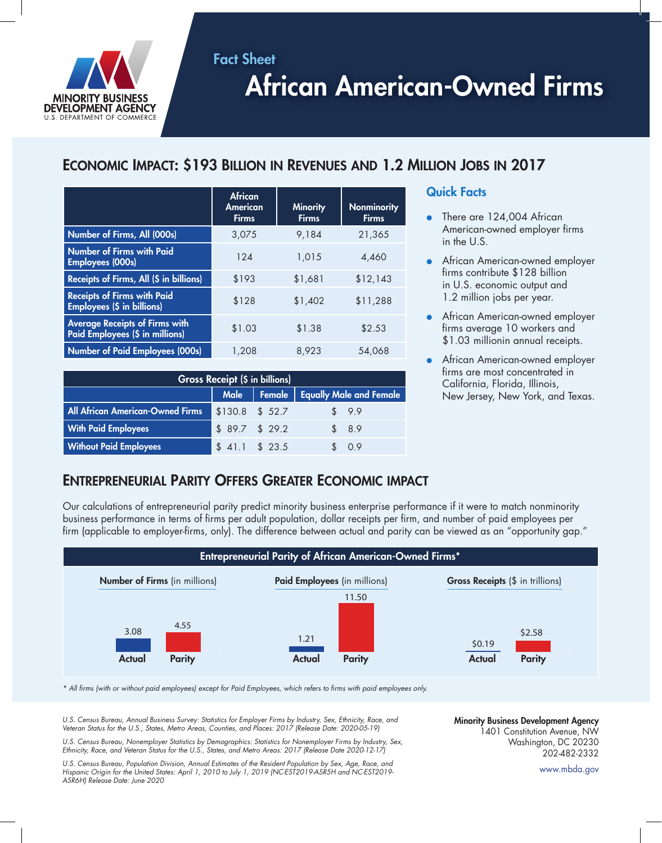

# African American-Owned Firms

# Economic Impact: \$193 Billion in Revenues and 1.2 Million Jobs in 2017

|                                                                          | <b>African</b><br><b>American</b><br><b>Firms</b> | <b>Minority</b><br><b>Firms</b> | <b>Nonminority</b><br><b>Firms</b> |
|--------------------------------------------------------------------------|---------------------------------------------------|---------------------------------|------------------------------------|
| Number of Firms, All (000s)                                              | 3,075                                             | 9.184                           | 21,365                             |
| Number of Firms with Paid<br><b>Employees (000s)</b>                     | 124                                               | 1,015                           | 4,460                              |
| Receipts of Firms, All (\$ in billions)                                  | \$193                                             | \$1,681                         | \$12,143                           |
| <b>Receipts of Firms with Paid</b><br><b>Employees (\$ in billions)</b>  | \$128                                             | \$1,402                         | \$11,288                           |
| <b>Average Receipts of Firms with</b><br>Paid Employees (\$ in millions) | \$1.03                                            | \$1.38                          | \$2.53                             |
| <b>Number of Paid Employees (000s)</b>                                   | 1,208                                             | 8,923                           | 54,068                             |

Fact Sheet

| <b>Gross Receipt (\$ in billions)</b>   |                  |  |                                     |  |
|-----------------------------------------|------------------|--|-------------------------------------|--|
|                                         |                  |  | Male Female Equally Male and Female |  |
| <b>All African American-Owned Firms</b> | $$130.8$ \$ 52.7 |  | \$9.9                               |  |
| <b>With Paid Employees</b>              | \$89.7\$329.2    |  | \$8.9                               |  |
| <b>Without Paid Employees</b>           | $$41.1$ $$23.5$  |  | \$0.9                               |  |

### Quick Facts

- There are 124,004 African American-owned employer firms in the U.S.
- African American-owned employer firms contribute \$128 billion in U.S. economic output and 1.2 million jobs per year.
- African American-owned employer firms average 10 workers and \$1.03 millionin annual receipts.
- African American-owned employer firms are most concentrated in California, Florida, Illinois, New Jersey, New York, and Texas.

## Entrepreneurial Parity Offers Greater Economic impact

Our calculations of entrepreneurial parity predict minority business enterprise performance if it were to match nonminority business performance in terms of firms per adult population, dollar receipts per firm, and number of paid employees per firm (applicable to employer-firms, only). The difference between actual and parity can be viewed as an "opportunity gap."



*\* All firms (with or without paid employees) except for Paid Employees, which refers to firms with paid employees only.*

*U.S. Census Bureau, Annual Business Survey: Statistics for Employer Firms by Industry, Sex, Ethnicity, Race, and Veteran Status for the U.S., States, Metro Areas, Counties, and Places: 2017 (Release Date: 2020-05-19)*

*U.S. Census Bureau, Nonemployer Statistics by Demographics: Statistics for Nonemployer Firms by Industry, Sex, Ethnicity, Race, and Veteran Status for the U.S., States, and Metro Areas: 2017 (Release Date 2020-12-17)*

*U.S. Census Bureau, Population Division, Annual Estimates of the Resident Population by Sex, Age, Race, and Hispanic Origin for the United States: April 1, 2010 to July 1, 2019 (NC-EST2019-ASR5H and NC-EST2019- ASR6H) Release Date: June 2020*

Minority Business Development Agency 1401 Constitution Avenue, NW Washington, DC 20230 202-482-2332

www.mbda.gov